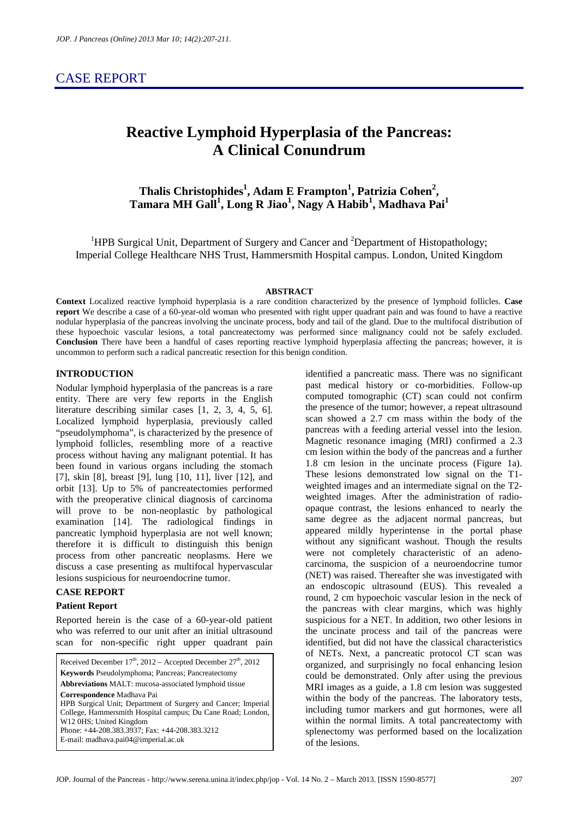# CASE REPORT

# **Reactive Lymphoid Hyperplasia of the Pancreas: A Clinical Conundrum**

**Thalis Christophides<sup>1</sup> , Adam E Frampton<sup>1</sup> , Patrizia Cohen<sup>2</sup> , Tamara MH Gall<sup>1</sup> , Long R Jiao<sup>1</sup> , Nagy A Habib<sup>1</sup> , Madhava Pai<sup>1</sup>**

<sup>1</sup>HPB Surgical Unit, Department of Surgery and Cancer and <sup>2</sup>Department of Histopathology; Imperial College Healthcare NHS Trust, Hammersmith Hospital campus. London, United Kingdom

#### **ABSTRACT**

**Context** Localized reactive lymphoid hyperplasia is a rare condition characterized by the presence of lymphoid follicles. **Case report** We describe a case of a 60-year-old woman who presented with right upper quadrant pain and was found to have a reactive nodular hyperplasia of the pancreas involving the uncinate process, body and tail of the gland. Due to the multifocal distribution of these hypoechoic vascular lesions, a total pancreatectomy was performed since malignancy could not be safely excluded. **Conclusion** There have been a handful of cases reporting reactive lymphoid hyperplasia affecting the pancreas; however, it is uncommon to perform such a radical pancreatic resection for this benign condition.

#### **INTRODUCTION**

Nodular lymphoid hyperplasia of the pancreas is a rare entity. There are very few reports in the English literature describing similar cases [1, 2, 3, 4, 5, 6]. Localized lymphoid hyperplasia, previously called "pseudolymphoma", is characterized by the presence of lymphoid follicles, resembling more of a reactive process without having any malignant potential. It has been found in various organs including the stomach [7], skin [8], breast [9], lung [10, 11], liver [12], and orbit [13]. Up to 5% of pancreatectomies performed with the preoperative clinical diagnosis of carcinoma will prove to be non-neoplastic by pathological examination [14]. The radiological findings in pancreatic lymphoid hyperplasia are not well known; therefore it is difficult to distinguish this benign process from other pancreatic neoplasms. Here we discuss a case presenting as multifocal hypervascular lesions suspicious for neuroendocrine tumor.

# **CASE REPORT**

#### **Patient Report**

Reported herein is the case of a 60-year-old patient who was referred to our unit after an initial ultrasound scan for non-specific right upper quadrant pain

Received December  $17<sup>th</sup>$ , 2012 – Accepted December  $27<sup>th</sup>$ , 2012 **Keywords** Pseudolymphoma; Pancreas; Pancreatectomy **Abbreviations** MALT: mucosa-associated lymphoid tissue **Correspondence** Madhava Pai HPB Surgical Unit; Department of Surgery and Cancer; Imperial College, Hammersmith Hospital campus; Du Cane Road; London, W12 0HS: United Kingdom Phone: +44-208.383.3937; Fax: +44-208.383.3212 E-mail: madhava.pai04@imperial.ac.uk

identified a pancreatic mass. There was no significant past medical history or co-morbidities. Follow-up computed tomographic (CT) scan could not confirm the presence of the tumor; however, a repeat ultrasound scan showed a 2.7 cm mass within the body of the pancreas with a feeding arterial vessel into the lesion. Magnetic resonance imaging (MRI) confirmed a 2.3 cm lesion within the body of the pancreas and a further 1.8 cm lesion in the uncinate process (Figure 1a). These lesions demonstrated low signal on the T1 weighted images and an intermediate signal on the T2 weighted images. After the administration of radioopaque contrast, the lesions enhanced to nearly the same degree as the adjacent normal pancreas, but appeared mildly hyperintense in the portal phase without any significant washout. Though the results were not completely characteristic of an adenocarcinoma, the suspicion of a neuroendocrine tumor (NET) was raised. Thereafter she was investigated with an endoscopic ultrasound (EUS). This revealed a round, 2 cm hypoechoic vascular lesion in the neck of the pancreas with clear margins, which was highly suspicious for a NET. In addition, two other lesions in the uncinate process and tail of the pancreas were identified, but did not have the classical characteristics of NETs. Next, a pancreatic protocol CT scan was organized, and surprisingly no focal enhancing lesion could be demonstrated. Only after using the previous MRI images as a guide, a 1.8 cm lesion was suggested within the body of the pancreas. The laboratory tests, including tumor markers and gut hormones, were all within the normal limits. A total pancreatectomy with splenectomy was performed based on the localization of the lesions.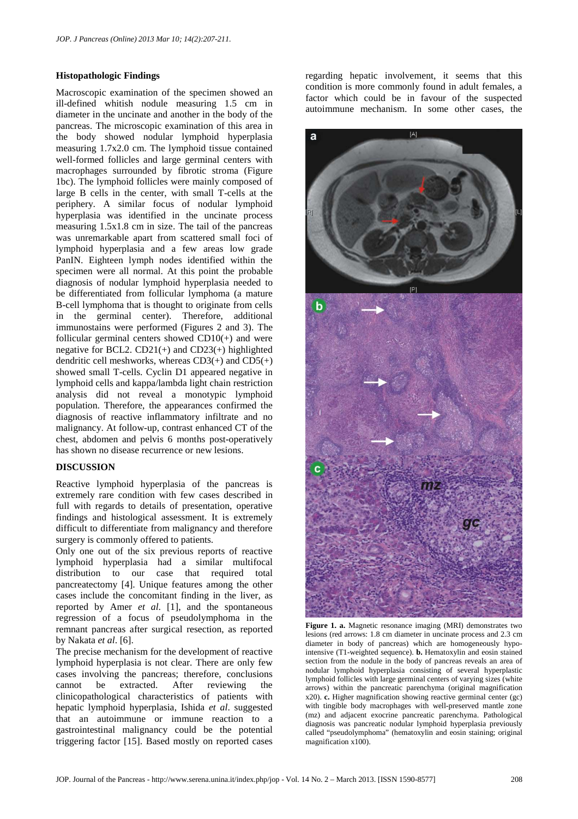### **Histopathologic Findings**

Macroscopic examination of the specimen showed an ill-defined whitish nodule measuring 1.5 cm in diameter in the uncinate and another in the body of the pancreas. The microscopic examination of this area in the body showed nodular lymphoid hyperplasia measuring 1.7x2.0 cm. The lymphoid tissue contained well-formed follicles and large germinal centers with macrophages surrounded by fibrotic stroma (Figure 1bc). The lymphoid follicles were mainly composed of large B cells in the center, with small T-cells at the periphery. A similar focus of nodular lymphoid hyperplasia was identified in the uncinate process measuring 1.5x1.8 cm in size. The tail of the pancreas was unremarkable apart from scattered small foci of lymphoid hyperplasia and a few areas low grade PanIN. Eighteen lymph nodes identified within the specimen were all normal. At this point the probable diagnosis of nodular lymphoid hyperplasia needed to be differentiated from follicular lymphoma (a mature B-cell lymphoma that is thought to originate from cells in the germinal center). Therefore, additional immunostains were performed (Figures 2 and 3). The follicular germinal centers showed CD10(+) and were negative for BCL2.  $CD21(+)$  and  $CD23(+)$  highlighted dendritic cell meshworks, whereas  $CD3(+)$  and  $CD5(+)$ showed small T-cells. Cyclin D1 appeared negative in lymphoid cells and kappa/lambda light chain restriction analysis did not reveal a monotypic lymphoid population. Therefore, the appearances confirmed the diagnosis of reactive inflammatory infiltrate and no malignancy. At follow-up, contrast enhanced CT of the chest, abdomen and pelvis 6 months post-operatively has shown no disease recurrence or new lesions.

## **DISCUSSION**

Reactive lymphoid hyperplasia of the pancreas is extremely rare condition with few cases described in full with regards to details of presentation, operative findings and histological assessment. It is extremely difficult to differentiate from malignancy and therefore surgery is commonly offered to patients.

Only one out of the six previous reports of reactive lymphoid hyperplasia had a similar multifocal distribution to our case that required total pancreatectomy [4]. Unique features among the other cases include the concomitant finding in the liver, as reported by Amer *et al*. [1], and the spontaneous regression of a focus of pseudolymphoma in the remnant pancreas after surgical resection, as reported by Nakata *et al*. [6].

The precise mechanism for the development of reactive lymphoid hyperplasia is not clear. There are only few cases involving the pancreas; therefore, conclusions cannot be extracted. After reviewing the clinicopathological characteristics of patients with hepatic lymphoid hyperplasia, Ishida *et al*. suggested that an autoimmune or immune reaction to a gastrointestinal malignancy could be the potential triggering factor [15]. Based mostly on reported cases

regarding hepatic involvement, it seems that this condition is more commonly found in adult females, a factor which could be in favour of the suspected autoimmune mechanism. In some other cases, the



**Figure 1. a.** Magnetic resonance imaging (MRI) demonstrates two lesions (red arrows: 1.8 cm diameter in uncinate process and 2.3 cm diameter in body of pancreas) which are homogeneously hypointensive (T1-weighted sequence). **b.** Hematoxylin and eosin stained section from the nodule in the body of pancreas reveals an area of nodular lymphoid hyperplasia consisting of several hyperplastic lymphoid follicles with large germinal centers of varying sizes (white arrows) within the pancreatic parenchyma (original magnification x20). **c.** Higher magnification showing reactive germinal center (gc) with tingible body macrophages with well-preserved mantle zone (mz) and adjacent exocrine pancreatic parenchyma. Pathological diagnosis was pancreatic nodular lymphoid hyperplasia previously called "pseudolymphoma" (hematoxylin and eosin staining; original magnification x100).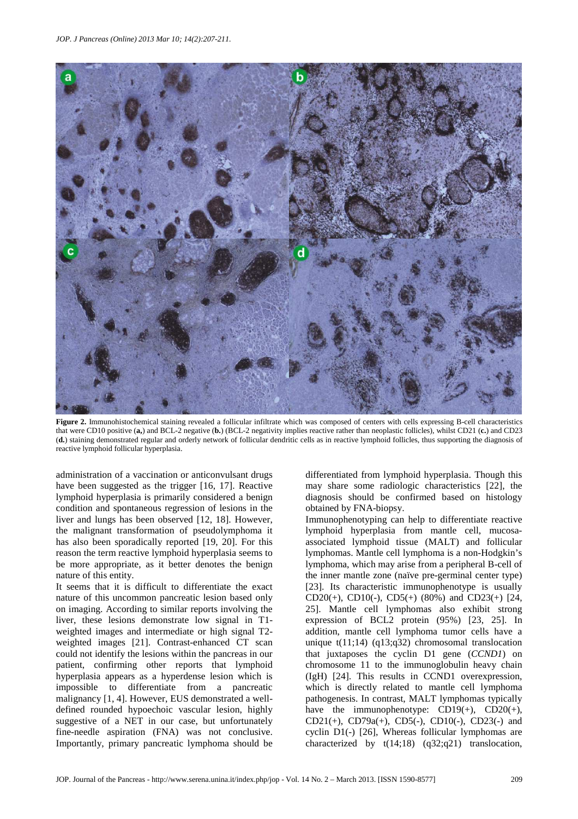

Figure 2. Immunohistochemical staining revealed a follicular infiltrate which was composed of centers with cells expressing B-cell characteristics that were CD10 positive (**a,**) and BCL-2 negative (**b.**) (BCL-2 negativity implies reactive rather than neoplastic follicles), whilst CD21 (**c.**) and CD23 (**d.**) staining demonstrated regular and orderly network of follicular dendritic cells as in reactive lymphoid follicles, thus supporting the diagnosis of reactive lymphoid follicular hyperplasia.

administration of a vaccination or anticonvulsant drugs have been suggested as the trigger [16, 17]. Reactive lymphoid hyperplasia is primarily considered a benign condition and spontaneous regression of lesions in the liver and lungs has been observed [12, 18]. However, the malignant transformation of pseudolymphoma it has also been sporadically reported [19, 20]. For this reason the term reactive lymphoid hyperplasia seems to be more appropriate, as it better denotes the benign nature of this entity.

It seems that it is difficult to differentiate the exact nature of this uncommon pancreatic lesion based only on imaging. According to similar reports involving the liver, these lesions demonstrate low signal in T1 weighted images and intermediate or high signal T2 weighted images [21]. Contrast-enhanced CT scan could not identify the lesions within the pancreas in our patient, confirming other reports that lymphoid hyperplasia appears as a hyperdense lesion which is impossible to differentiate from a pancreatic malignancy [1, 4]. However, EUS demonstrated a welldefined rounded hypoechoic vascular lesion, highly suggestive of a NET in our case, but unfortunately fine-needle aspiration (FNA) was not conclusive. Importantly, primary pancreatic lymphoma should be

differentiated from lymphoid hyperplasia. Though this may share some radiologic characteristics [22], the diagnosis should be confirmed based on histology obtained by FNA-biopsy.

Immunophenotyping can help to differentiate reactive lymphoid hyperplasia from mantle cell, mucosaassociated lymphoid tissue (MALT) and follicular lymphomas. Mantle cell lymphoma is a non-Hodgkin's lymphoma, which may arise from a peripheral B-cell of the inner mantle zone (naïve pre-germinal center type) [23]. Its characteristic immunophenotype is usually CD20(+), CD10(-), CD5(+) (80%) and CD23(+) [24, 25]. Mantle cell lymphomas also exhibit strong expression of BCL2 protein (95%) [23, 25]. In addition, mantle cell lymphoma tumor cells have a unique t(11;14) (q13;q32) chromosomal translocation that juxtaposes the cyclin D1 gene (*CCND1*) on chromosome 11 to the immunoglobulin heavy chain (IgH) [24]. This results in CCND1 overexpression, which is directly related to mantle cell lymphoma pathogenesis. In contrast, MALT lymphomas typically have the immunophenotype:  $CD19(+)$ ,  $CD20(+)$ , CD21(+), CD79a(+), CD5(-), CD10(-), CD23(-) and cyclin D1(-) [26], Whereas follicular lymphomas are characterized by t(14;18) (q32;q21) translocation,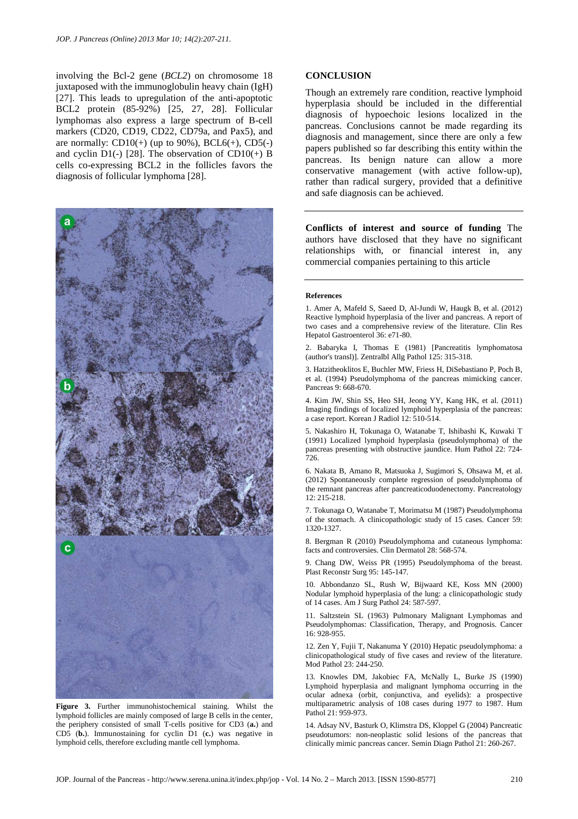involving the Bcl-2 gene (*BCL2*) on chromosome 18 juxtaposed with the immunoglobulin heavy chain (IgH) [27]. This leads to upregulation of the anti-apoptotic BCL2 protein (85-92%) [25, 27, 28]. Follicular lymphomas also express a large spectrum of B-cell markers (CD20, CD19, CD22, CD79a, and Pax5), and are normally:  $CD10(+)$  (up to 90%),  $BCL6(+)$ ,  $CD5(-)$ and cyclin  $D1(-)$  [28]. The observation of CD10(+) B cells co-expressing BCL2 in the follicles favors the diagnosis of follicular lymphoma [28].



**Figure 3.** Further immunohistochemical staining. Whilst the lymphoid follicles are mainly composed of large B cells in the center, the periphery consisted of small T-cells positive for CD3 (**a.**) and CD5 (**b.**). Immunostaining for cyclin D1 (**c.**) was negative in lymphoid cells, therefore excluding mantle cell lymphoma.

#### **CONCLUSION**

Though an extremely rare condition, reactive lymphoid hyperplasia should be included in the differential diagnosis of hypoechoic lesions localized in the pancreas. Conclusions cannot be made regarding its diagnosis and management, since there are only a few papers published so far describing this entity within the pancreas. Its benign nature can allow a more conservative management (with active follow-up), rather than radical surgery, provided that a definitive and safe diagnosis can be achieved.

**Conflicts of interest and source of funding** The authors have disclosed that they have no significant relationships with, or financial interest in, any commercial companies pertaining to this article

#### **References**

1. Amer A, Mafeld S, Saeed D, Al-Jundi W, Haugk B, et al. (2012) Reactive lymphoid hyperplasia of the liver and pancreas. A report of two cases and a comprehensive review of the literature. Clin Res Hepatol Gastroenterol 36: e71-80.

2. Babaryka I, Thomas E (1981) [Pancreatitis lymphomatosa (author's transl)]. Zentralbl Allg Pathol 125: 315-318.

3. Hatzitheoklitos E, Buchler MW, Friess H, DiSebastiano P, Poch B, et al. (1994) Pseudolymphoma of the pancreas mimicking cancer. Pancreas 9: 668-670.

4. Kim JW, Shin SS, Heo SH, Jeong YY, Kang HK, et al. (2011) Imaging findings of localized lymphoid hyperplasia of the pancreas: a case report. Korean J Radiol 12: 510-514.

5. Nakashiro H, Tokunaga O, Watanabe T, Ishibashi K, Kuwaki T (1991) Localized lymphoid hyperplasia (pseudolymphoma) of the pancreas presenting with obstructive jaundice. Hum Pathol 22: 724- 726.

6. Nakata B, Amano R, Matsuoka J, Sugimori S, Ohsawa M, et al. (2012) Spontaneously complete regression of pseudolymphoma of the remnant pancreas after pancreaticoduodenectomy. Pancreatology  $12.215 - 218$ 

7. Tokunaga O, Watanabe T, Morimatsu M (1987) Pseudolymphoma of the stomach. A clinicopathologic study of 15 cases. Cancer 59: 1320-1327.

8. Bergman R (2010) Pseudolymphoma and cutaneous lymphoma: facts and controversies. Clin Dermatol 28: 568-574.

9. Chang DW, Weiss PR (1995) Pseudolymphoma of the breast. Plast Reconstr Surg 95: 145-147.

10. Abbondanzo SL, Rush W, Bijwaard KE, Koss MN (2000) Nodular lymphoid hyperplasia of the lung: a clinicopathologic study of 14 cases. Am J Surg Pathol 24: 587-597.

11. Saltzstein SL (1963) Pulmonary Malignant Lymphomas and Pseudolymphomas: Classification, Therapy, and Prognosis. Cancer 16: 928-955.

12. Zen Y, Fujii T, Nakanuma Y (2010) Hepatic pseudolymphoma: a clinicopathological study of five cases and review of the literature. Mod Pathol 23: 244-250.

13. Knowles DM, Jakobiec FA, McNally L, Burke JS (1990) Lymphoid hyperplasia and malignant lymphoma occurring in the ocular adnexa (orbit, conjunctiva, and eyelids): a prospective multiparametric analysis of 108 cases during 1977 to 1987. Hum Pathol 21: 959-973.

14. Adsay NV, Basturk O, Klimstra DS, Kloppel G (2004) Pancreatic pseudotumors: non-neoplastic solid lesions of the pancreas that clinically mimic pancreas cancer. Semin Diagn Pathol 21: 260-267.